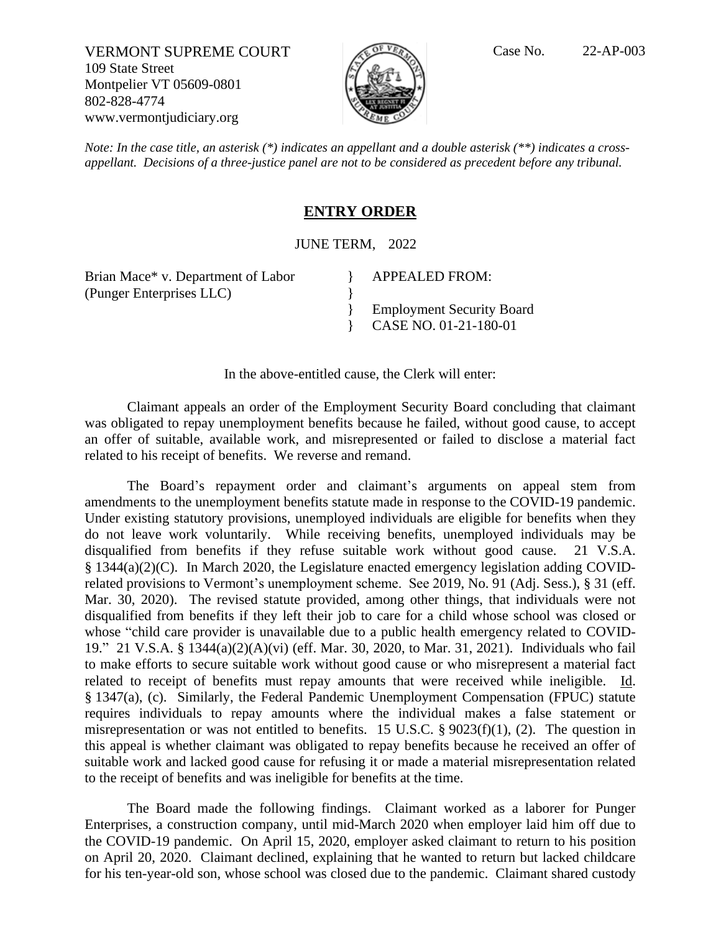VERMONT SUPREME COURT Case No. 22-AP-003 109 State Street Montpelier VT 05609-0801 802-828-4774 www.vermontjudiciary.org



*Note: In the case title, an asterisk* (\*) *indicates an appellant and a double asterisk* (\*\*) *indicates a crossappellant. Decisions of a three-justice panel are not to be considered as precedent before any tribunal.*

## **ENTRY ORDER**

JUNE TERM, 2022

} }

Brian Mace\* v. Department of Labor (Punger Enterprises LLC)

APPEALED FROM:

} Employment Security Board } CASE NO. 01-21-180-01

In the above-entitled cause, the Clerk will enter:

Claimant appeals an order of the Employment Security Board concluding that claimant was obligated to repay unemployment benefits because he failed, without good cause, to accept an offer of suitable, available work, and misrepresented or failed to disclose a material fact related to his receipt of benefits. We reverse and remand.

The Board's repayment order and claimant's arguments on appeal stem from amendments to the unemployment benefits statute made in response to the COVID-19 pandemic. Under existing statutory provisions, unemployed individuals are eligible for benefits when they do not leave work voluntarily. While receiving benefits, unemployed individuals may be disqualified from benefits if they refuse suitable work without good cause. 21 V.S.A. § 1344(a)(2)(C). In March 2020, the Legislature enacted emergency legislation adding COVIDrelated provisions to Vermont's unemployment scheme. See 2019, No. 91 (Adj. Sess.), § 31 (eff. Mar. 30, 2020). The revised statute provided, among other things, that individuals were not disqualified from benefits if they left their job to care for a child whose school was closed or whose "child care provider is unavailable due to a public health emergency related to COVID-19." 21 V.S.A. § 1344(a)(2)(A)(vi) (eff. Mar. 30, 2020, to Mar. 31, 2021). Individuals who fail to make efforts to secure suitable work without good cause or who misrepresent a material fact related to receipt of benefits must repay amounts that were received while ineligible. Id. § 1347(a), (c). Similarly, the Federal Pandemic Unemployment Compensation (FPUC) statute requires individuals to repay amounts where the individual makes a false statement or misrepresentation or was not entitled to benefits. 15 U.S.C. § 9023(f)(1), (2). The question in this appeal is whether claimant was obligated to repay benefits because he received an offer of suitable work and lacked good cause for refusing it or made a material misrepresentation related to the receipt of benefits and was ineligible for benefits at the time.

The Board made the following findings. Claimant worked as a laborer for Punger Enterprises, a construction company, until mid-March 2020 when employer laid him off due to the COVID-19 pandemic. On April 15, 2020, employer asked claimant to return to his position on April 20, 2020. Claimant declined, explaining that he wanted to return but lacked childcare for his ten-year-old son, whose school was closed due to the pandemic. Claimant shared custody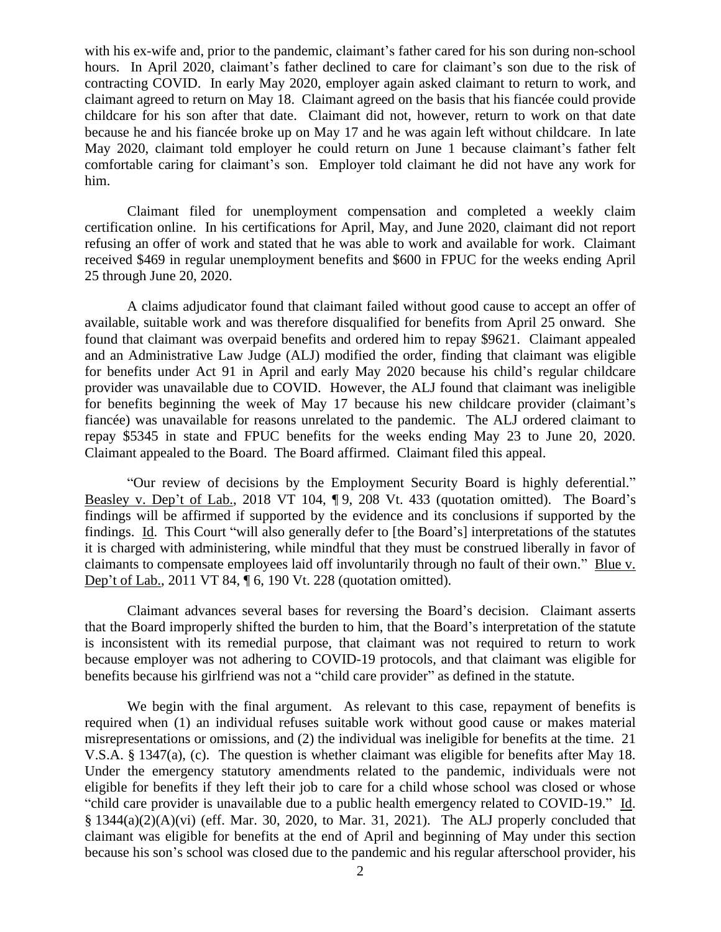with his ex-wife and, prior to the pandemic, claimant's father cared for his son during non-school hours. In April 2020, claimant's father declined to care for claimant's son due to the risk of contracting COVID. In early May 2020, employer again asked claimant to return to work, and claimant agreed to return on May 18. Claimant agreed on the basis that his fiancée could provide childcare for his son after that date. Claimant did not, however, return to work on that date because he and his fiancée broke up on May 17 and he was again left without childcare. In late May 2020, claimant told employer he could return on June 1 because claimant's father felt comfortable caring for claimant's son. Employer told claimant he did not have any work for him.

Claimant filed for unemployment compensation and completed a weekly claim certification online. In his certifications for April, May, and June 2020, claimant did not report refusing an offer of work and stated that he was able to work and available for work. Claimant received \$469 in regular unemployment benefits and \$600 in FPUC for the weeks ending April 25 through June 20, 2020.

A claims adjudicator found that claimant failed without good cause to accept an offer of available, suitable work and was therefore disqualified for benefits from April 25 onward. She found that claimant was overpaid benefits and ordered him to repay \$9621. Claimant appealed and an Administrative Law Judge (ALJ) modified the order, finding that claimant was eligible for benefits under Act 91 in April and early May 2020 because his child's regular childcare provider was unavailable due to COVID. However, the ALJ found that claimant was ineligible for benefits beginning the week of May 17 because his new childcare provider (claimant's fiancée) was unavailable for reasons unrelated to the pandemic. The ALJ ordered claimant to repay \$5345 in state and FPUC benefits for the weeks ending May 23 to June 20, 2020. Claimant appealed to the Board. The Board affirmed. Claimant filed this appeal.

"Our review of decisions by the Employment Security Board is highly deferential." Beasley v. Dep't of Lab., 2018 VT 104, ¶9, 208 Vt. 433 (quotation omitted). The Board's findings will be affirmed if supported by the evidence and its conclusions if supported by the findings. Id. This Court "will also generally defer to [the Board's] interpretations of the statutes it is charged with administering, while mindful that they must be construed liberally in favor of claimants to compensate employees laid off involuntarily through no fault of their own." Blue v. Dep't of Lab., 2011 VT 84, ¶ 6, 190 Vt. 228 (quotation omitted).

Claimant advances several bases for reversing the Board's decision. Claimant asserts that the Board improperly shifted the burden to him, that the Board's interpretation of the statute is inconsistent with its remedial purpose, that claimant was not required to return to work because employer was not adhering to COVID-19 protocols, and that claimant was eligible for benefits because his girlfriend was not a "child care provider" as defined in the statute.

We begin with the final argument. As relevant to this case, repayment of benefits is required when (1) an individual refuses suitable work without good cause or makes material misrepresentations or omissions, and (2) the individual was ineligible for benefits at the time. 21 V.S.A. § 1347(a), (c). The question is whether claimant was eligible for benefits after May 18. Under the emergency statutory amendments related to the pandemic, individuals were not eligible for benefits if they left their job to care for a child whose school was closed or whose "child care provider is unavailable due to a public health emergency related to COVID-19." Id.  $§ 1344(a)(2)(A)(vi)$  (eff. Mar. 30, 2020, to Mar. 31, 2021). The ALJ properly concluded that claimant was eligible for benefits at the end of April and beginning of May under this section because his son's school was closed due to the pandemic and his regular afterschool provider, his